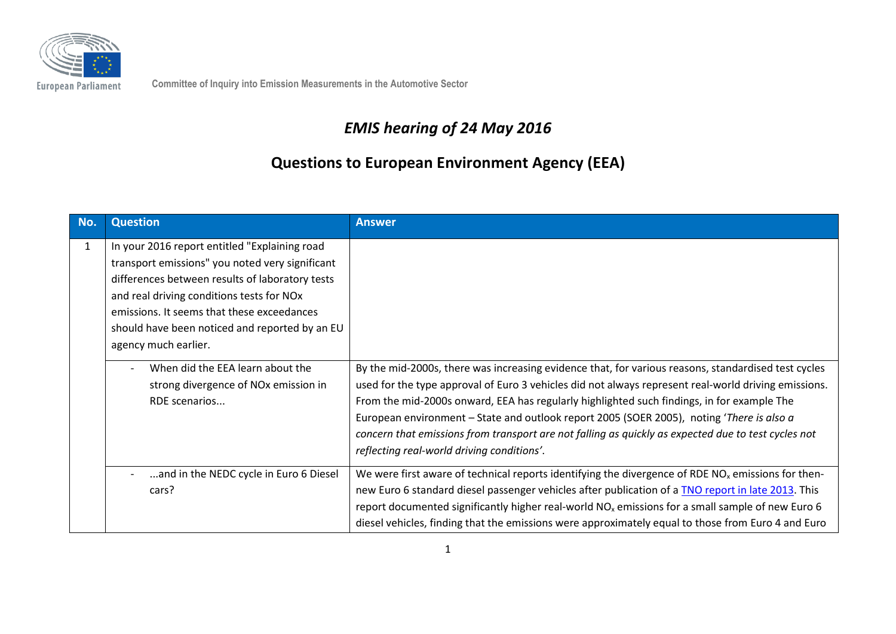

**Committee of Inquiry into Emission Measurements in the Automotive Sector**

## *EMIS hearing of 24 May 2016*

## **Questions to European Environment Agency (EEA)**

| No.          | <b>Question</b>                                                                                                                                                                                                                                                                                                                                                                                                       | <b>Answer</b>                                                                                                                                                                                                                                                                                                                                                                                                                                                                                                                                               |
|--------------|-----------------------------------------------------------------------------------------------------------------------------------------------------------------------------------------------------------------------------------------------------------------------------------------------------------------------------------------------------------------------------------------------------------------------|-------------------------------------------------------------------------------------------------------------------------------------------------------------------------------------------------------------------------------------------------------------------------------------------------------------------------------------------------------------------------------------------------------------------------------------------------------------------------------------------------------------------------------------------------------------|
| $\mathbf{1}$ | In your 2016 report entitled "Explaining road<br>transport emissions" you noted very significant<br>differences between results of laboratory tests<br>and real driving conditions tests for NOx<br>emissions. It seems that these exceedances<br>should have been noticed and reported by an EU<br>agency much earlier.<br>When did the EEA learn about the<br>strong divergence of NOx emission in<br>RDE scenarios | By the mid-2000s, there was increasing evidence that, for various reasons, standardised test cycles<br>used for the type approval of Euro 3 vehicles did not always represent real-world driving emissions.<br>From the mid-2000s onward, EEA has regularly highlighted such findings, in for example The<br>European environment - State and outlook report 2005 (SOER 2005), noting 'There is also a<br>concern that emissions from transport are not falling as quickly as expected due to test cycles not<br>reflecting real-world driving conditions'. |
|              | and in the NEDC cycle in Euro 6 Diesel<br>cars?                                                                                                                                                                                                                                                                                                                                                                       | We were first aware of technical reports identifying the divergence of RDE $NOx$ emissions for then-<br>new Euro 6 standard diesel passenger vehicles after publication of a TNO report in late 2013. This<br>report documented significantly higher real-world $NOx$ emissions for a small sample of new Euro 6<br>diesel vehicles, finding that the emissions were approximately equal to those from Euro 4 and Euro                                                                                                                                      |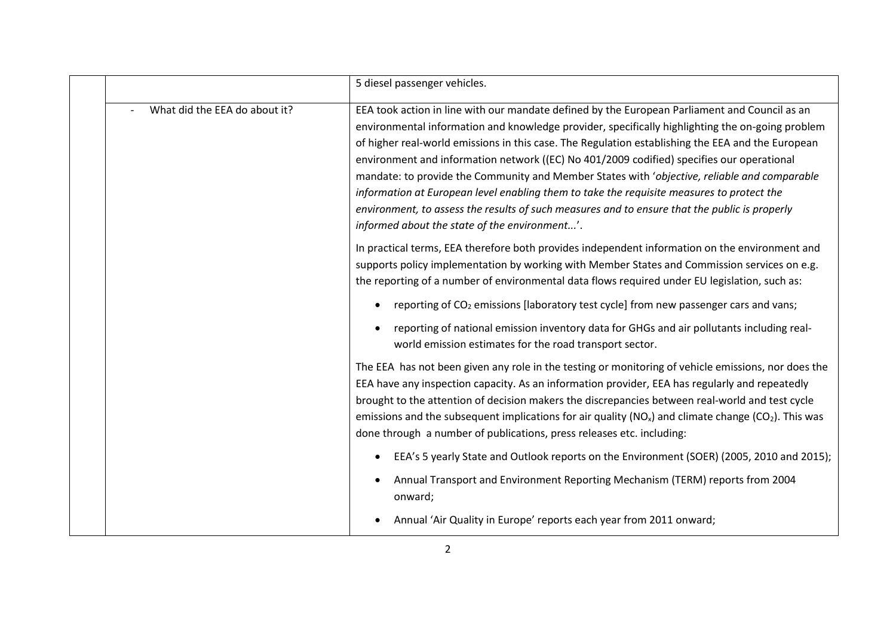|                               | 5 diesel passenger vehicles.                                                                                                                                                                                                                                                                                                                                                                                                                                                                                                                                                                                                                                                                                                                       |
|-------------------------------|----------------------------------------------------------------------------------------------------------------------------------------------------------------------------------------------------------------------------------------------------------------------------------------------------------------------------------------------------------------------------------------------------------------------------------------------------------------------------------------------------------------------------------------------------------------------------------------------------------------------------------------------------------------------------------------------------------------------------------------------------|
| What did the EEA do about it? | EEA took action in line with our mandate defined by the European Parliament and Council as an<br>environmental information and knowledge provider, specifically highlighting the on-going problem<br>of higher real-world emissions in this case. The Regulation establishing the EEA and the European<br>environment and information network ((EC) No 401/2009 codified) specifies our operational<br>mandate: to provide the Community and Member States with 'objective, reliable and comparable<br>information at European level enabling them to take the requisite measures to protect the<br>environment, to assess the results of such measures and to ensure that the public is properly<br>informed about the state of the environment'. |
|                               | In practical terms, EEA therefore both provides independent information on the environment and<br>supports policy implementation by working with Member States and Commission services on e.g.<br>the reporting of a number of environmental data flows required under EU legislation, such as:                                                                                                                                                                                                                                                                                                                                                                                                                                                    |
|                               | reporting of CO <sub>2</sub> emissions [laboratory test cycle] from new passenger cars and vans;                                                                                                                                                                                                                                                                                                                                                                                                                                                                                                                                                                                                                                                   |
|                               | reporting of national emission inventory data for GHGs and air pollutants including real-<br>world emission estimates for the road transport sector.                                                                                                                                                                                                                                                                                                                                                                                                                                                                                                                                                                                               |
|                               | The EEA has not been given any role in the testing or monitoring of vehicle emissions, nor does the<br>EEA have any inspection capacity. As an information provider, EEA has regularly and repeatedly<br>brought to the attention of decision makers the discrepancies between real-world and test cycle<br>emissions and the subsequent implications for air quality ( $NOx$ ) and climate change ( $CO2$ ). This was<br>done through a number of publications, press releases etc. including:                                                                                                                                                                                                                                                    |
|                               | EEA's 5 yearly State and Outlook reports on the Environment (SOER) (2005, 2010 and 2015);                                                                                                                                                                                                                                                                                                                                                                                                                                                                                                                                                                                                                                                          |
|                               | Annual Transport and Environment Reporting Mechanism (TERM) reports from 2004<br>onward;                                                                                                                                                                                                                                                                                                                                                                                                                                                                                                                                                                                                                                                           |
|                               | Annual 'Air Quality in Europe' reports each year from 2011 onward;                                                                                                                                                                                                                                                                                                                                                                                                                                                                                                                                                                                                                                                                                 |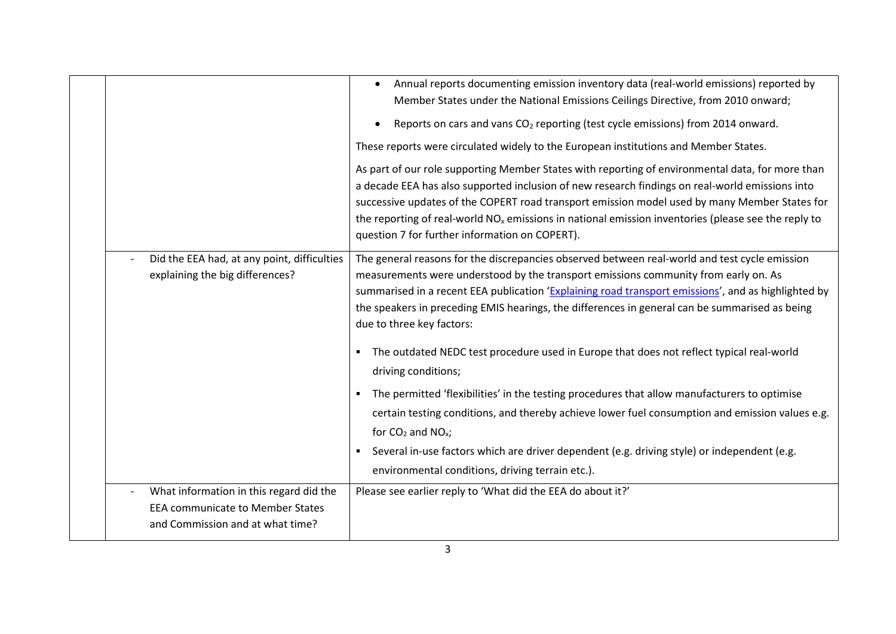|                                                                             | Annual reports documenting emission inventory data (real-world emissions) reported by<br>Member States under the National Emissions Ceilings Directive, from 2010 onward;                           |
|-----------------------------------------------------------------------------|-----------------------------------------------------------------------------------------------------------------------------------------------------------------------------------------------------|
|                                                                             | Reports on cars and vans CO <sub>2</sub> reporting (test cycle emissions) from 2014 onward.<br>$\bullet$                                                                                            |
|                                                                             | These reports were circulated widely to the European institutions and Member States.                                                                                                                |
|                                                                             | As part of our role supporting Member States with reporting of environmental data, for more than<br>a decade EEA has also supported inclusion of new research findings on real-world emissions into |
|                                                                             | successive updates of the COPERT road transport emission model used by many Member States for                                                                                                       |
|                                                                             | the reporting of real-world $NOx$ emissions in national emission inventories (please see the reply to<br>question 7 for further information on COPERT).                                             |
| Did the EEA had, at any point, difficulties                                 | The general reasons for the discrepancies observed between real-world and test cycle emission                                                                                                       |
| explaining the big differences?                                             | measurements were understood by the transport emissions community from early on. As<br>summarised in a recent EEA publication 'Explaining road transport emissions', and as highlighted by          |
|                                                                             | the speakers in preceding EMIS hearings, the differences in general can be summarised as being<br>due to three key factors:                                                                         |
|                                                                             | The outdated NEDC test procedure used in Europe that does not reflect typical real-world<br>$\blacksquare$<br>driving conditions;                                                                   |
|                                                                             | The permitted 'flexibilities' in the testing procedures that allow manufacturers to optimise<br>$\blacksquare$                                                                                      |
|                                                                             | certain testing conditions, and thereby achieve lower fuel consumption and emission values e.g.<br>for $CO2$ and NO <sub>x</sub> ;                                                                  |
|                                                                             | Several in-use factors which are driver dependent (e.g. driving style) or independent (e.g.<br>٠                                                                                                    |
|                                                                             | environmental conditions, driving terrain etc.).                                                                                                                                                    |
| What information in this regard did the                                     | Please see earlier reply to 'What did the EEA do about it?'                                                                                                                                         |
| <b>EEA communicate to Member States</b><br>and Commission and at what time? |                                                                                                                                                                                                     |
|                                                                             |                                                                                                                                                                                                     |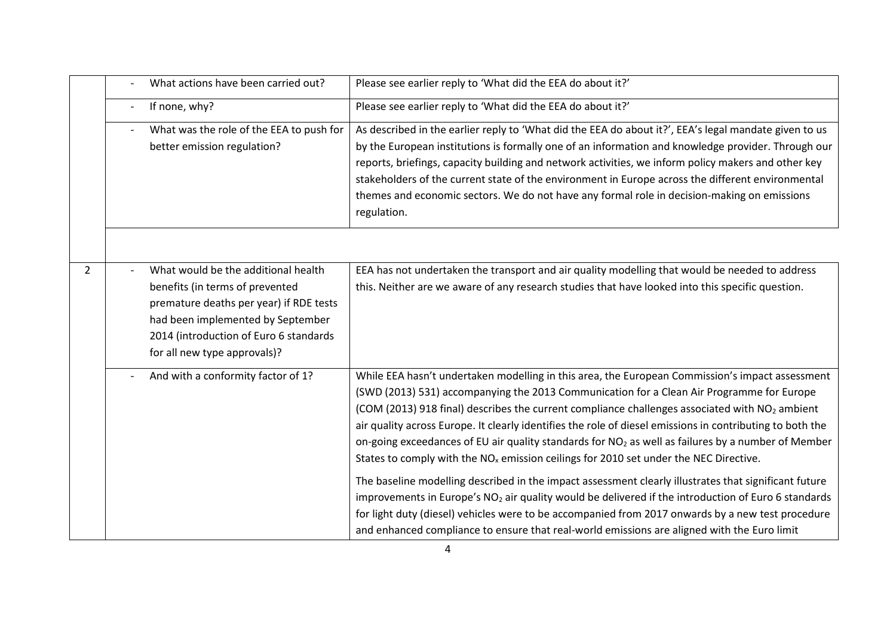|                | What actions have been carried out?                                                                                                                                                                                              | Please see earlier reply to 'What did the EEA do about it?'                                                                                                                                                                                                                                                                                                                                                                                                                                                                                                                                                                                                                                                                                                                                                                                                                                                                                                                                                                                                                    |
|----------------|----------------------------------------------------------------------------------------------------------------------------------------------------------------------------------------------------------------------------------|--------------------------------------------------------------------------------------------------------------------------------------------------------------------------------------------------------------------------------------------------------------------------------------------------------------------------------------------------------------------------------------------------------------------------------------------------------------------------------------------------------------------------------------------------------------------------------------------------------------------------------------------------------------------------------------------------------------------------------------------------------------------------------------------------------------------------------------------------------------------------------------------------------------------------------------------------------------------------------------------------------------------------------------------------------------------------------|
|                | If none, why?                                                                                                                                                                                                                    | Please see earlier reply to 'What did the EEA do about it?'                                                                                                                                                                                                                                                                                                                                                                                                                                                                                                                                                                                                                                                                                                                                                                                                                                                                                                                                                                                                                    |
|                | What was the role of the EEA to push for<br>better emission regulation?                                                                                                                                                          | As described in the earlier reply to 'What did the EEA do about it?', EEA's legal mandate given to us<br>by the European institutions is formally one of an information and knowledge provider. Through our<br>reports, briefings, capacity building and network activities, we inform policy makers and other key<br>stakeholders of the current state of the environment in Europe across the different environmental<br>themes and economic sectors. We do not have any formal role in decision-making on emissions<br>regulation.                                                                                                                                                                                                                                                                                                                                                                                                                                                                                                                                          |
|                |                                                                                                                                                                                                                                  |                                                                                                                                                                                                                                                                                                                                                                                                                                                                                                                                                                                                                                                                                                                                                                                                                                                                                                                                                                                                                                                                                |
| $\overline{2}$ | What would be the additional health<br>benefits (in terms of prevented<br>premature deaths per year) if RDE tests<br>had been implemented by September<br>2014 (introduction of Euro 6 standards<br>for all new type approvals)? | EEA has not undertaken the transport and air quality modelling that would be needed to address<br>this. Neither are we aware of any research studies that have looked into this specific question.                                                                                                                                                                                                                                                                                                                                                                                                                                                                                                                                                                                                                                                                                                                                                                                                                                                                             |
|                | And with a conformity factor of 1?                                                                                                                                                                                               | While EEA hasn't undertaken modelling in this area, the European Commission's impact assessment<br>(SWD (2013) 531) accompanying the 2013 Communication for a Clean Air Programme for Europe<br>(COM (2013) 918 final) describes the current compliance challenges associated with NO <sub>2</sub> ambient<br>air quality across Europe. It clearly identifies the role of diesel emissions in contributing to both the<br>on-going exceedances of EU air quality standards for NO <sub>2</sub> as well as failures by a number of Member<br>States to comply with the NO <sub>x</sub> emission ceilings for 2010 set under the NEC Directive.<br>The baseline modelling described in the impact assessment clearly illustrates that significant future<br>improvements in Europe's NO <sub>2</sub> air quality would be delivered if the introduction of Euro 6 standards<br>for light duty (diesel) vehicles were to be accompanied from 2017 onwards by a new test procedure<br>and enhanced compliance to ensure that real-world emissions are aligned with the Euro limit |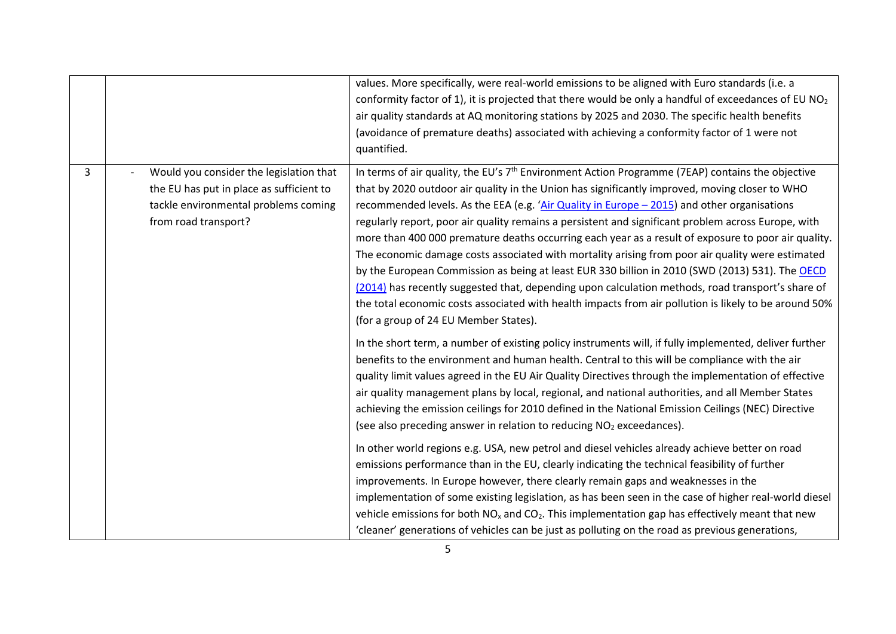|                |                                                                                                                                                     | values. More specifically, were real-world emissions to be aligned with Euro standards (i.e. a<br>conformity factor of 1), it is projected that there would be only a handful of exceedances of EU $NO2$<br>air quality standards at AQ monitoring stations by 2025 and 2030. The specific health benefits<br>(avoidance of premature deaths) associated with achieving a conformity factor of 1 were not<br>quantified.                                                                                                                                                                                                                                                                                                                                                                                                                                                                                                                                                                                                                                                                                      |
|----------------|-----------------------------------------------------------------------------------------------------------------------------------------------------|---------------------------------------------------------------------------------------------------------------------------------------------------------------------------------------------------------------------------------------------------------------------------------------------------------------------------------------------------------------------------------------------------------------------------------------------------------------------------------------------------------------------------------------------------------------------------------------------------------------------------------------------------------------------------------------------------------------------------------------------------------------------------------------------------------------------------------------------------------------------------------------------------------------------------------------------------------------------------------------------------------------------------------------------------------------------------------------------------------------|
| $\overline{3}$ | Would you consider the legislation that<br>the EU has put in place as sufficient to<br>tackle environmental problems coming<br>from road transport? | In terms of air quality, the EU's 7 <sup>th</sup> Environment Action Programme (7EAP) contains the objective<br>that by 2020 outdoor air quality in the Union has significantly improved, moving closer to WHO<br>recommended levels. As the EEA (e.g. 'Air Quality in Europe $-$ 2015) and other organisations<br>regularly report, poor air quality remains a persistent and significant problem across Europe, with<br>more than 400 000 premature deaths occurring each year as a result of exposure to poor air quality.<br>The economic damage costs associated with mortality arising from poor air quality were estimated<br>by the European Commission as being at least EUR 330 billion in 2010 (SWD (2013) 531). The OECD<br>(2014) has recently suggested that, depending upon calculation methods, road transport's share of<br>the total economic costs associated with health impacts from air pollution is likely to be around 50%<br>(for a group of 24 EU Member States).<br>In the short term, a number of existing policy instruments will, if fully implemented, deliver further         |
|                |                                                                                                                                                     | benefits to the environment and human health. Central to this will be compliance with the air<br>quality limit values agreed in the EU Air Quality Directives through the implementation of effective<br>air quality management plans by local, regional, and national authorities, and all Member States<br>achieving the emission ceilings for 2010 defined in the National Emission Ceilings (NEC) Directive<br>(see also preceding answer in relation to reducing NO <sub>2</sub> exceedances).<br>In other world regions e.g. USA, new petrol and diesel vehicles already achieve better on road<br>emissions performance than in the EU, clearly indicating the technical feasibility of further<br>improvements. In Europe however, there clearly remain gaps and weaknesses in the<br>implementation of some existing legislation, as has been seen in the case of higher real-world diesel<br>vehicle emissions for both $NOx$ and $CO2$ . This implementation gap has effectively meant that new<br>'cleaner' generations of vehicles can be just as polluting on the road as previous generations, |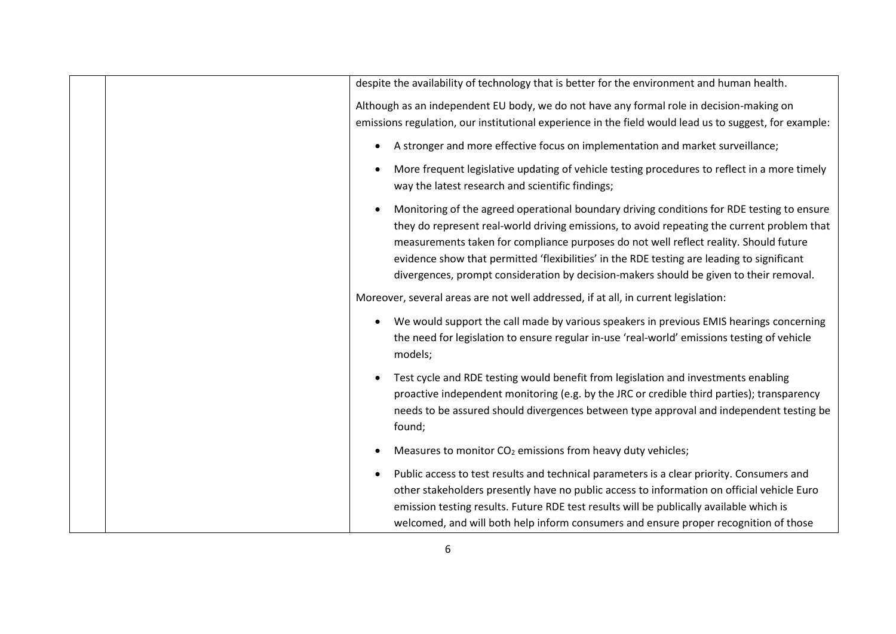|  | despite the availability of technology that is better for the environment and human health.                                                                                                                                                                                                                                                                                                                                                                                |
|--|----------------------------------------------------------------------------------------------------------------------------------------------------------------------------------------------------------------------------------------------------------------------------------------------------------------------------------------------------------------------------------------------------------------------------------------------------------------------------|
|  | Although as an independent EU body, we do not have any formal role in decision-making on<br>emissions regulation, our institutional experience in the field would lead us to suggest, for example:                                                                                                                                                                                                                                                                         |
|  | A stronger and more effective focus on implementation and market surveillance;                                                                                                                                                                                                                                                                                                                                                                                             |
|  | More frequent legislative updating of vehicle testing procedures to reflect in a more timely<br>way the latest research and scientific findings;                                                                                                                                                                                                                                                                                                                           |
|  | Monitoring of the agreed operational boundary driving conditions for RDE testing to ensure<br>they do represent real-world driving emissions, to avoid repeating the current problem that<br>measurements taken for compliance purposes do not well reflect reality. Should future<br>evidence show that permitted 'flexibilities' in the RDE testing are leading to significant<br>divergences, prompt consideration by decision-makers should be given to their removal. |
|  | Moreover, several areas are not well addressed, if at all, in current legislation:                                                                                                                                                                                                                                                                                                                                                                                         |
|  | We would support the call made by various speakers in previous EMIS hearings concerning<br>the need for legislation to ensure regular in-use 'real-world' emissions testing of vehicle<br>models;                                                                                                                                                                                                                                                                          |
|  | Test cycle and RDE testing would benefit from legislation and investments enabling<br>proactive independent monitoring (e.g. by the JRC or credible third parties); transparency<br>needs to be assured should divergences between type approval and independent testing be<br>found;                                                                                                                                                                                      |
|  | Measures to monitor CO <sub>2</sub> emissions from heavy duty vehicles;                                                                                                                                                                                                                                                                                                                                                                                                    |
|  | Public access to test results and technical parameters is a clear priority. Consumers and<br>other stakeholders presently have no public access to information on official vehicle Euro<br>emission testing results. Future RDE test results will be publically available which is<br>welcomed, and will both help inform consumers and ensure proper recognition of those                                                                                                 |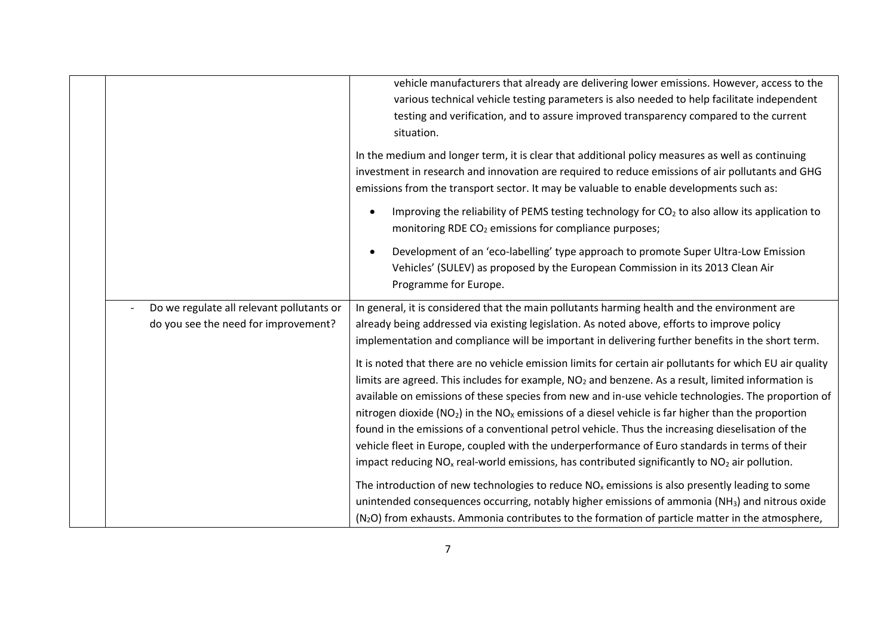| vehicle manufacturers that already are delivering lower emissions. However, access to the<br>various technical vehicle testing parameters is also needed to help facilitate independent<br>testing and verification, and to assure improved transparency compared to the current<br>situation.<br>In the medium and longer term, it is clear that additional policy measures as well as continuing<br>investment in research and innovation are required to reduce emissions of air pollutants and GHG<br>emissions from the transport sector. It may be valuable to enable developments such as:<br>Improving the reliability of PEMS testing technology for CO <sub>2</sub> to also allow its application to<br>monitoring RDE CO <sub>2</sub> emissions for compliance purposes;<br>Development of an 'eco-labelling' type approach to promote Super Ultra-Low Emission<br>Vehicles' (SULEV) as proposed by the European Commission in its 2013 Clean Air<br>Programme for Europe.<br>Do we regulate all relevant pollutants or<br>In general, it is considered that the main pollutants harming health and the environment are<br>do you see the need for improvement?<br>already being addressed via existing legislation. As noted above, efforts to improve policy<br>implementation and compliance will be important in delivering further benefits in the short term.<br>It is noted that there are no vehicle emission limits for certain air pollutants for which EU air quality<br>limits are agreed. This includes for example, NO <sub>2</sub> and benzene. As a result, limited information is<br>available on emissions of these species from new and in-use vehicle technologies. The proportion of<br>nitrogen dioxide ( $NO2$ ) in the $NOx$ emissions of a diesel vehicle is far higher than the proportion<br>found in the emissions of a conventional petrol vehicle. Thus the increasing dieselisation of the<br>vehicle fleet in Europe, coupled with the underperformance of Euro standards in terms of their<br>impact reducing $NOx$ real-world emissions, has contributed significantly to $NO2$ air pollution.<br>The introduction of new technologies to reduce $NOx$ emissions is also presently leading to some<br>unintended consequences occurring, notably higher emissions of ammonia (NH <sub>3</sub> ) and nitrous oxide<br>(N <sub>2</sub> O) from exhausts. Ammonia contributes to the formation of particle matter in the atmosphere, |  |  |
|--------------------------------------------------------------------------------------------------------------------------------------------------------------------------------------------------------------------------------------------------------------------------------------------------------------------------------------------------------------------------------------------------------------------------------------------------------------------------------------------------------------------------------------------------------------------------------------------------------------------------------------------------------------------------------------------------------------------------------------------------------------------------------------------------------------------------------------------------------------------------------------------------------------------------------------------------------------------------------------------------------------------------------------------------------------------------------------------------------------------------------------------------------------------------------------------------------------------------------------------------------------------------------------------------------------------------------------------------------------------------------------------------------------------------------------------------------------------------------------------------------------------------------------------------------------------------------------------------------------------------------------------------------------------------------------------------------------------------------------------------------------------------------------------------------------------------------------------------------------------------------------------------------------------------------------------------------------------------------------------------------------------------------------------------------------------------------------------------------------------------------------------------------------------------------------------------------------------------------------------------------------------------------------------------------------------------------------------------------------------------------------------------------------------------------------------------------------------------------|--|--|
|                                                                                                                                                                                                                                                                                                                                                                                                                                                                                                                                                                                                                                                                                                                                                                                                                                                                                                                                                                                                                                                                                                                                                                                                                                                                                                                                                                                                                                                                                                                                                                                                                                                                                                                                                                                                                                                                                                                                                                                                                                                                                                                                                                                                                                                                                                                                                                                                                                                                                |  |  |
|                                                                                                                                                                                                                                                                                                                                                                                                                                                                                                                                                                                                                                                                                                                                                                                                                                                                                                                                                                                                                                                                                                                                                                                                                                                                                                                                                                                                                                                                                                                                                                                                                                                                                                                                                                                                                                                                                                                                                                                                                                                                                                                                                                                                                                                                                                                                                                                                                                                                                |  |  |
|                                                                                                                                                                                                                                                                                                                                                                                                                                                                                                                                                                                                                                                                                                                                                                                                                                                                                                                                                                                                                                                                                                                                                                                                                                                                                                                                                                                                                                                                                                                                                                                                                                                                                                                                                                                                                                                                                                                                                                                                                                                                                                                                                                                                                                                                                                                                                                                                                                                                                |  |  |
|                                                                                                                                                                                                                                                                                                                                                                                                                                                                                                                                                                                                                                                                                                                                                                                                                                                                                                                                                                                                                                                                                                                                                                                                                                                                                                                                                                                                                                                                                                                                                                                                                                                                                                                                                                                                                                                                                                                                                                                                                                                                                                                                                                                                                                                                                                                                                                                                                                                                                |  |  |
|                                                                                                                                                                                                                                                                                                                                                                                                                                                                                                                                                                                                                                                                                                                                                                                                                                                                                                                                                                                                                                                                                                                                                                                                                                                                                                                                                                                                                                                                                                                                                                                                                                                                                                                                                                                                                                                                                                                                                                                                                                                                                                                                                                                                                                                                                                                                                                                                                                                                                |  |  |
|                                                                                                                                                                                                                                                                                                                                                                                                                                                                                                                                                                                                                                                                                                                                                                                                                                                                                                                                                                                                                                                                                                                                                                                                                                                                                                                                                                                                                                                                                                                                                                                                                                                                                                                                                                                                                                                                                                                                                                                                                                                                                                                                                                                                                                                                                                                                                                                                                                                                                |  |  |
|                                                                                                                                                                                                                                                                                                                                                                                                                                                                                                                                                                                                                                                                                                                                                                                                                                                                                                                                                                                                                                                                                                                                                                                                                                                                                                                                                                                                                                                                                                                                                                                                                                                                                                                                                                                                                                                                                                                                                                                                                                                                                                                                                                                                                                                                                                                                                                                                                                                                                |  |  |
|                                                                                                                                                                                                                                                                                                                                                                                                                                                                                                                                                                                                                                                                                                                                                                                                                                                                                                                                                                                                                                                                                                                                                                                                                                                                                                                                                                                                                                                                                                                                                                                                                                                                                                                                                                                                                                                                                                                                                                                                                                                                                                                                                                                                                                                                                                                                                                                                                                                                                |  |  |
|                                                                                                                                                                                                                                                                                                                                                                                                                                                                                                                                                                                                                                                                                                                                                                                                                                                                                                                                                                                                                                                                                                                                                                                                                                                                                                                                                                                                                                                                                                                                                                                                                                                                                                                                                                                                                                                                                                                                                                                                                                                                                                                                                                                                                                                                                                                                                                                                                                                                                |  |  |
|                                                                                                                                                                                                                                                                                                                                                                                                                                                                                                                                                                                                                                                                                                                                                                                                                                                                                                                                                                                                                                                                                                                                                                                                                                                                                                                                                                                                                                                                                                                                                                                                                                                                                                                                                                                                                                                                                                                                                                                                                                                                                                                                                                                                                                                                                                                                                                                                                                                                                |  |  |
|                                                                                                                                                                                                                                                                                                                                                                                                                                                                                                                                                                                                                                                                                                                                                                                                                                                                                                                                                                                                                                                                                                                                                                                                                                                                                                                                                                                                                                                                                                                                                                                                                                                                                                                                                                                                                                                                                                                                                                                                                                                                                                                                                                                                                                                                                                                                                                                                                                                                                |  |  |
|                                                                                                                                                                                                                                                                                                                                                                                                                                                                                                                                                                                                                                                                                                                                                                                                                                                                                                                                                                                                                                                                                                                                                                                                                                                                                                                                                                                                                                                                                                                                                                                                                                                                                                                                                                                                                                                                                                                                                                                                                                                                                                                                                                                                                                                                                                                                                                                                                                                                                |  |  |
|                                                                                                                                                                                                                                                                                                                                                                                                                                                                                                                                                                                                                                                                                                                                                                                                                                                                                                                                                                                                                                                                                                                                                                                                                                                                                                                                                                                                                                                                                                                                                                                                                                                                                                                                                                                                                                                                                                                                                                                                                                                                                                                                                                                                                                                                                                                                                                                                                                                                                |  |  |
|                                                                                                                                                                                                                                                                                                                                                                                                                                                                                                                                                                                                                                                                                                                                                                                                                                                                                                                                                                                                                                                                                                                                                                                                                                                                                                                                                                                                                                                                                                                                                                                                                                                                                                                                                                                                                                                                                                                                                                                                                                                                                                                                                                                                                                                                                                                                                                                                                                                                                |  |  |
|                                                                                                                                                                                                                                                                                                                                                                                                                                                                                                                                                                                                                                                                                                                                                                                                                                                                                                                                                                                                                                                                                                                                                                                                                                                                                                                                                                                                                                                                                                                                                                                                                                                                                                                                                                                                                                                                                                                                                                                                                                                                                                                                                                                                                                                                                                                                                                                                                                                                                |  |  |
|                                                                                                                                                                                                                                                                                                                                                                                                                                                                                                                                                                                                                                                                                                                                                                                                                                                                                                                                                                                                                                                                                                                                                                                                                                                                                                                                                                                                                                                                                                                                                                                                                                                                                                                                                                                                                                                                                                                                                                                                                                                                                                                                                                                                                                                                                                                                                                                                                                                                                |  |  |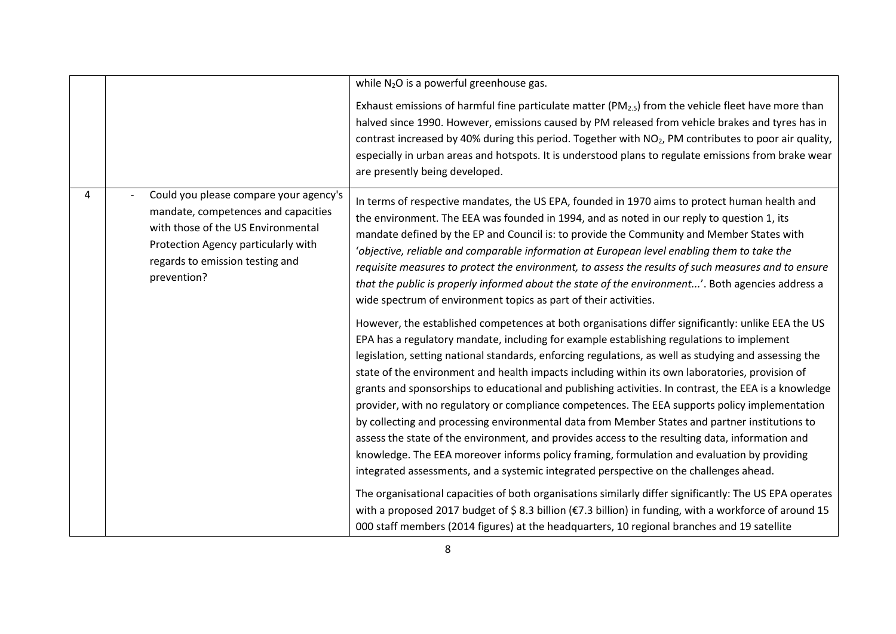|   |                                                                                                                                                                                                              | while $N_2O$ is a powerful greenhouse gas.                                                                                                                                                                                                                                                                                                                                                                                                                                                                                                                                                                                                                                                                                                                                                                                                                                                                                                                                                                                                                                                                                      |
|---|--------------------------------------------------------------------------------------------------------------------------------------------------------------------------------------------------------------|---------------------------------------------------------------------------------------------------------------------------------------------------------------------------------------------------------------------------------------------------------------------------------------------------------------------------------------------------------------------------------------------------------------------------------------------------------------------------------------------------------------------------------------------------------------------------------------------------------------------------------------------------------------------------------------------------------------------------------------------------------------------------------------------------------------------------------------------------------------------------------------------------------------------------------------------------------------------------------------------------------------------------------------------------------------------------------------------------------------------------------|
|   |                                                                                                                                                                                                              | Exhaust emissions of harmful fine particulate matter ( $PM_{2.5}$ ) from the vehicle fleet have more than<br>halved since 1990. However, emissions caused by PM released from vehicle brakes and tyres has in<br>contrast increased by 40% during this period. Together with NO <sub>2</sub> , PM contributes to poor air quality,<br>especially in urban areas and hotspots. It is understood plans to regulate emissions from brake wear<br>are presently being developed.                                                                                                                                                                                                                                                                                                                                                                                                                                                                                                                                                                                                                                                    |
| 4 | Could you please compare your agency's<br>mandate, competences and capacities<br>with those of the US Environmental<br>Protection Agency particularly with<br>regards to emission testing and<br>prevention? | In terms of respective mandates, the US EPA, founded in 1970 aims to protect human health and<br>the environment. The EEA was founded in 1994, and as noted in our reply to question 1, its<br>mandate defined by the EP and Council is: to provide the Community and Member States with<br>'objective, reliable and comparable information at European level enabling them to take the<br>requisite measures to protect the environment, to assess the results of such measures and to ensure<br>that the public is properly informed about the state of the environment'. Both agencies address a<br>wide spectrum of environment topics as part of their activities.                                                                                                                                                                                                                                                                                                                                                                                                                                                         |
|   |                                                                                                                                                                                                              | However, the established competences at both organisations differ significantly: unlike EEA the US<br>EPA has a regulatory mandate, including for example establishing regulations to implement<br>legislation, setting national standards, enforcing regulations, as well as studying and assessing the<br>state of the environment and health impacts including within its own laboratories, provision of<br>grants and sponsorships to educational and publishing activities. In contrast, the EEA is a knowledge<br>provider, with no regulatory or compliance competences. The EEA supports policy implementation<br>by collecting and processing environmental data from Member States and partner institutions to<br>assess the state of the environment, and provides access to the resulting data, information and<br>knowledge. The EEA moreover informs policy framing, formulation and evaluation by providing<br>integrated assessments, and a systemic integrated perspective on the challenges ahead.<br>The organisational capacities of both organisations similarly differ significantly: The US EPA operates |
|   |                                                                                                                                                                                                              | with a proposed 2017 budget of \$8.3 billion (€7.3 billion) in funding, with a workforce of around 15<br>000 staff members (2014 figures) at the headquarters, 10 regional branches and 19 satellite                                                                                                                                                                                                                                                                                                                                                                                                                                                                                                                                                                                                                                                                                                                                                                                                                                                                                                                            |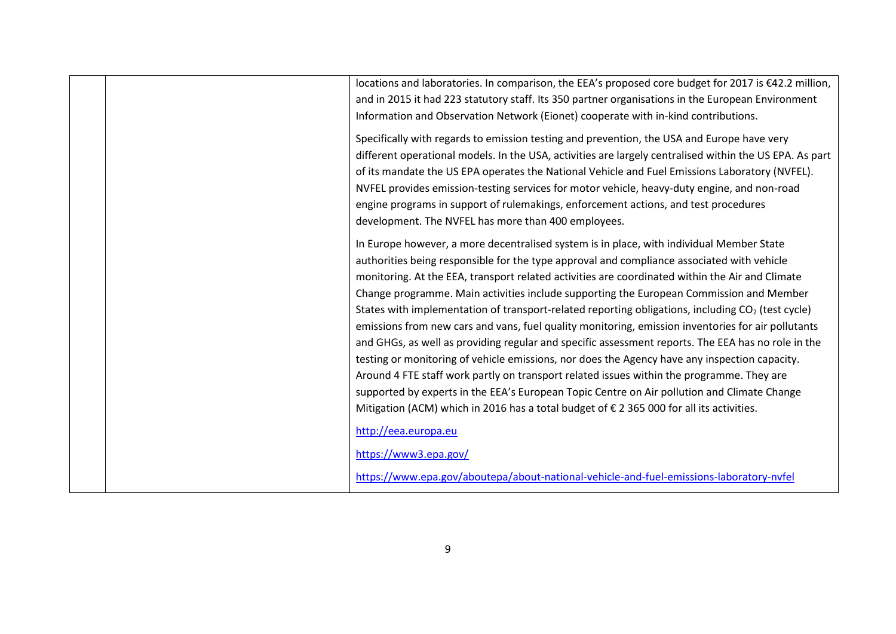|  | locations and laboratories. In comparison, the EEA's proposed core budget for 2017 is €42.2 million,<br>and in 2015 it had 223 statutory staff. Its 350 partner organisations in the European Environment<br>Information and Observation Network (Eionet) cooperate with in-kind contributions.                                                                                                                                                                                                                                                                                                                                                                                                                   |
|--|-------------------------------------------------------------------------------------------------------------------------------------------------------------------------------------------------------------------------------------------------------------------------------------------------------------------------------------------------------------------------------------------------------------------------------------------------------------------------------------------------------------------------------------------------------------------------------------------------------------------------------------------------------------------------------------------------------------------|
|  | Specifically with regards to emission testing and prevention, the USA and Europe have very<br>different operational models. In the USA, activities are largely centralised within the US EPA. As part<br>of its mandate the US EPA operates the National Vehicle and Fuel Emissions Laboratory (NVFEL).<br>NVFEL provides emission-testing services for motor vehicle, heavy-duty engine, and non-road<br>engine programs in support of rulemakings, enforcement actions, and test procedures<br>development. The NVFEL has more than 400 employees.                                                                                                                                                              |
|  | In Europe however, a more decentralised system is in place, with individual Member State<br>authorities being responsible for the type approval and compliance associated with vehicle<br>monitoring. At the EEA, transport related activities are coordinated within the Air and Climate<br>Change programme. Main activities include supporting the European Commission and Member<br>States with implementation of transport-related reporting obligations, including CO <sub>2</sub> (test cycle)<br>emissions from new cars and vans, fuel quality monitoring, emission inventories for air pollutants<br>and GHGs, as well as providing regular and specific assessment reports. The EEA has no role in the |
|  | testing or monitoring of vehicle emissions, nor does the Agency have any inspection capacity.<br>Around 4 FTE staff work partly on transport related issues within the programme. They are<br>supported by experts in the EEA's European Topic Centre on Air pollution and Climate Change<br>Mitigation (ACM) which in 2016 has a total budget of € 2 365 000 for all its activities.                                                                                                                                                                                                                                                                                                                             |
|  | http://eea.europa.eu<br>https://www3.epa.gov/<br>https://www.epa.gov/aboutepa/about-national-vehicle-and-fuel-emissions-laboratory-nvfel                                                                                                                                                                                                                                                                                                                                                                                                                                                                                                                                                                          |
|  |                                                                                                                                                                                                                                                                                                                                                                                                                                                                                                                                                                                                                                                                                                                   |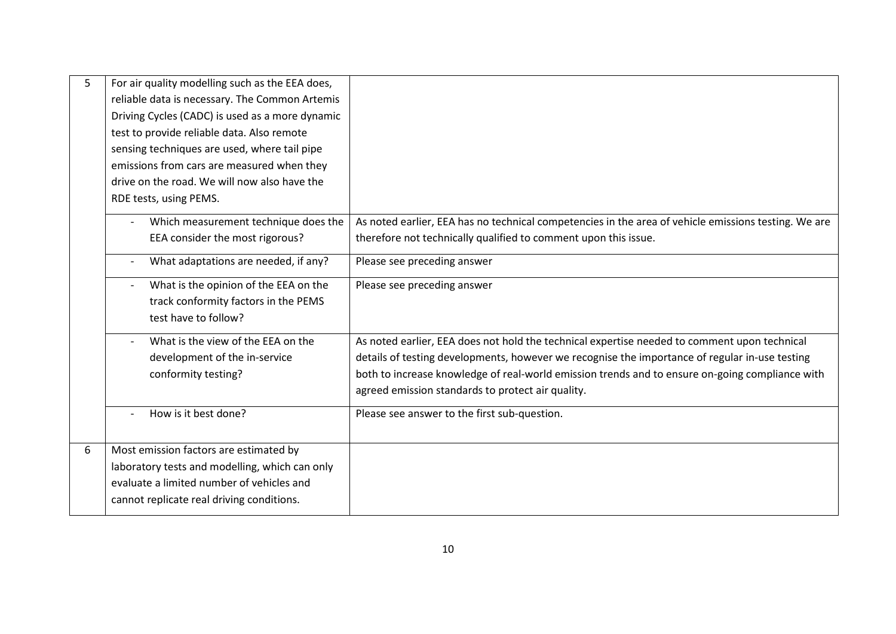| 5 | For air quality modelling such as the EEA does, |                                                                                                      |
|---|-------------------------------------------------|------------------------------------------------------------------------------------------------------|
|   | reliable data is necessary. The Common Artemis  |                                                                                                      |
|   | Driving Cycles (CADC) is used as a more dynamic |                                                                                                      |
|   | test to provide reliable data. Also remote      |                                                                                                      |
|   | sensing techniques are used, where tail pipe    |                                                                                                      |
|   | emissions from cars are measured when they      |                                                                                                      |
|   | drive on the road. We will now also have the    |                                                                                                      |
|   | RDE tests, using PEMS.                          |                                                                                                      |
|   | Which measurement technique does the            | As noted earlier, EEA has no technical competencies in the area of vehicle emissions testing. We are |
|   | EEA consider the most rigorous?                 | therefore not technically qualified to comment upon this issue.                                      |
|   | What adaptations are needed, if any?            | Please see preceding answer                                                                          |
|   | What is the opinion of the EEA on the           | Please see preceding answer                                                                          |
|   | track conformity factors in the PEMS            |                                                                                                      |
|   | test have to follow?                            |                                                                                                      |
|   | What is the view of the EEA on the              | As noted earlier, EEA does not hold the technical expertise needed to comment upon technical         |
|   | development of the in-service                   | details of testing developments, however we recognise the importance of regular in-use testing       |
|   | conformity testing?                             | both to increase knowledge of real-world emission trends and to ensure on-going compliance with      |
|   |                                                 | agreed emission standards to protect air quality.                                                    |
|   | How is it best done?                            | Please see answer to the first sub-question.                                                         |
|   |                                                 |                                                                                                      |
| 6 | Most emission factors are estimated by          |                                                                                                      |
|   | laboratory tests and modelling, which can only  |                                                                                                      |
|   | evaluate a limited number of vehicles and       |                                                                                                      |
|   | cannot replicate real driving conditions.       |                                                                                                      |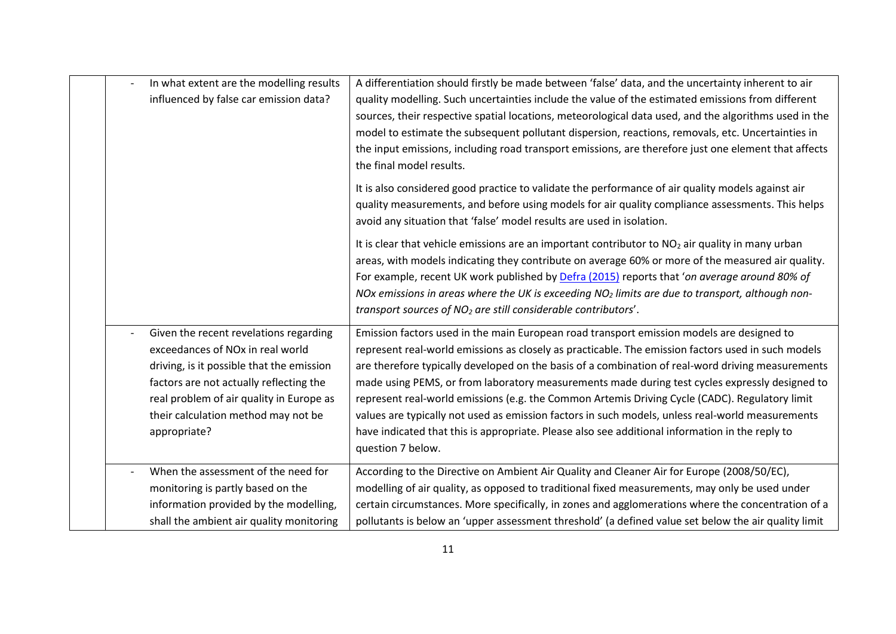| In what extent are the modelling results<br>influenced by false car emission data?                                                                                                                                                                                                | A differentiation should firstly be made between 'false' data, and the uncertainty inherent to air<br>quality modelling. Such uncertainties include the value of the estimated emissions from different<br>sources, their respective spatial locations, meteorological data used, and the algorithms used in the<br>model to estimate the subsequent pollutant dispersion, reactions, removals, etc. Uncertainties in<br>the input emissions, including road transport emissions, are therefore just one element that affects<br>the final model results.                                                                                                                                                                            |
|-----------------------------------------------------------------------------------------------------------------------------------------------------------------------------------------------------------------------------------------------------------------------------------|--------------------------------------------------------------------------------------------------------------------------------------------------------------------------------------------------------------------------------------------------------------------------------------------------------------------------------------------------------------------------------------------------------------------------------------------------------------------------------------------------------------------------------------------------------------------------------------------------------------------------------------------------------------------------------------------------------------------------------------|
|                                                                                                                                                                                                                                                                                   | It is also considered good practice to validate the performance of air quality models against air<br>quality measurements, and before using models for air quality compliance assessments. This helps<br>avoid any situation that 'false' model results are used in isolation.                                                                                                                                                                                                                                                                                                                                                                                                                                                       |
|                                                                                                                                                                                                                                                                                   | It is clear that vehicle emissions are an important contributor to NO <sub>2</sub> air quality in many urban<br>areas, with models indicating they contribute on average 60% or more of the measured air quality.<br>For example, recent UK work published by Defra (2015) reports that 'on average around 80% of<br>NOx emissions in areas where the UK is exceeding $NO2$ limits are due to transport, although non-<br>transport sources of NO <sub>2</sub> are still considerable contributors'.                                                                                                                                                                                                                                 |
| Given the recent revelations regarding<br>exceedances of NO <sub>x</sub> in real world<br>driving, is it possible that the emission<br>factors are not actually reflecting the<br>real problem of air quality in Europe as<br>their calculation method may not be<br>appropriate? | Emission factors used in the main European road transport emission models are designed to<br>represent real-world emissions as closely as practicable. The emission factors used in such models<br>are therefore typically developed on the basis of a combination of real-word driving measurements<br>made using PEMS, or from laboratory measurements made during test cycles expressly designed to<br>represent real-world emissions (e.g. the Common Artemis Driving Cycle (CADC). Regulatory limit<br>values are typically not used as emission factors in such models, unless real-world measurements<br>have indicated that this is appropriate. Please also see additional information in the reply to<br>question 7 below. |
| When the assessment of the need for<br>monitoring is partly based on the<br>information provided by the modelling,<br>shall the ambient air quality monitoring                                                                                                                    | According to the Directive on Ambient Air Quality and Cleaner Air for Europe (2008/50/EC),<br>modelling of air quality, as opposed to traditional fixed measurements, may only be used under<br>certain circumstances. More specifically, in zones and agglomerations where the concentration of a<br>pollutants is below an 'upper assessment threshold' (a defined value set below the air quality limit                                                                                                                                                                                                                                                                                                                           |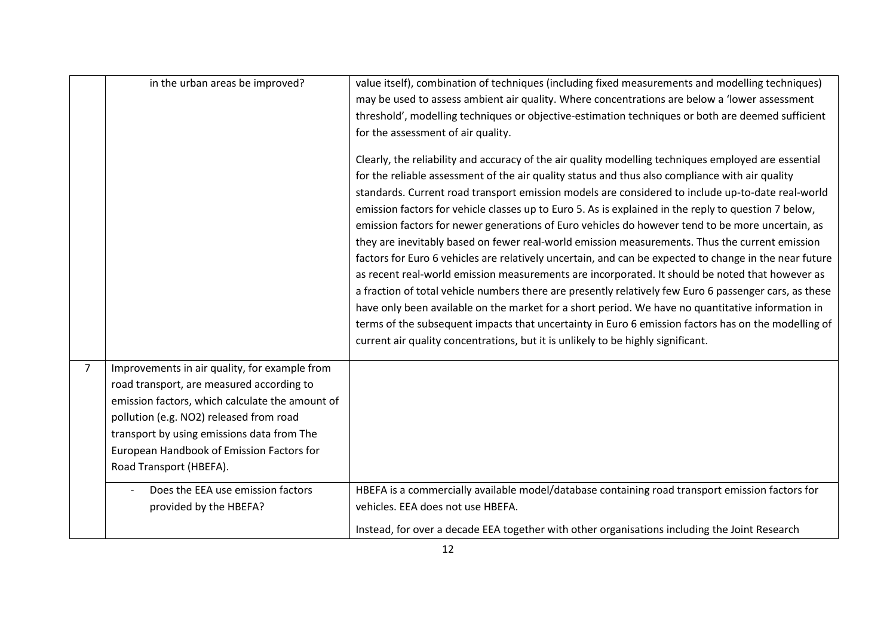|   | in the urban areas be improved?                                                            | value itself), combination of techniques (including fixed measurements and modelling techniques)<br>may be used to assess ambient air quality. Where concentrations are below a 'lower assessment<br>threshold', modelling techniques or objective-estimation techniques or both are deemed sufficient<br>for the assessment of air quality.<br>Clearly, the reliability and accuracy of the air quality modelling techniques employed are essential<br>for the reliable assessment of the air quality status and thus also compliance with air quality<br>standards. Current road transport emission models are considered to include up-to-date real-world<br>emission factors for vehicle classes up to Euro 5. As is explained in the reply to question 7 below,<br>emission factors for newer generations of Euro vehicles do however tend to be more uncertain, as<br>they are inevitably based on fewer real-world emission measurements. Thus the current emission<br>factors for Euro 6 vehicles are relatively uncertain, and can be expected to change in the near future<br>as recent real-world emission measurements are incorporated. It should be noted that however as<br>a fraction of total vehicle numbers there are presently relatively few Euro 6 passenger cars, as these<br>have only been available on the market for a short period. We have no quantitative information in<br>terms of the subsequent impacts that uncertainty in Euro 6 emission factors has on the modelling of |
|---|--------------------------------------------------------------------------------------------|---------------------------------------------------------------------------------------------------------------------------------------------------------------------------------------------------------------------------------------------------------------------------------------------------------------------------------------------------------------------------------------------------------------------------------------------------------------------------------------------------------------------------------------------------------------------------------------------------------------------------------------------------------------------------------------------------------------------------------------------------------------------------------------------------------------------------------------------------------------------------------------------------------------------------------------------------------------------------------------------------------------------------------------------------------------------------------------------------------------------------------------------------------------------------------------------------------------------------------------------------------------------------------------------------------------------------------------------------------------------------------------------------------------------------------------------------------------------------------------------------------------|
|   |                                                                                            | current air quality concentrations, but it is unlikely to be highly significant.                                                                                                                                                                                                                                                                                                                                                                                                                                                                                                                                                                                                                                                                                                                                                                                                                                                                                                                                                                                                                                                                                                                                                                                                                                                                                                                                                                                                                              |
| 7 |                                                                                            |                                                                                                                                                                                                                                                                                                                                                                                                                                                                                                                                                                                                                                                                                                                                                                                                                                                                                                                                                                                                                                                                                                                                                                                                                                                                                                                                                                                                                                                                                                               |
|   | Improvements in air quality, for example from<br>road transport, are measured according to |                                                                                                                                                                                                                                                                                                                                                                                                                                                                                                                                                                                                                                                                                                                                                                                                                                                                                                                                                                                                                                                                                                                                                                                                                                                                                                                                                                                                                                                                                                               |
|   | emission factors, which calculate the amount of                                            |                                                                                                                                                                                                                                                                                                                                                                                                                                                                                                                                                                                                                                                                                                                                                                                                                                                                                                                                                                                                                                                                                                                                                                                                                                                                                                                                                                                                                                                                                                               |
|   | pollution (e.g. NO2) released from road                                                    |                                                                                                                                                                                                                                                                                                                                                                                                                                                                                                                                                                                                                                                                                                                                                                                                                                                                                                                                                                                                                                                                                                                                                                                                                                                                                                                                                                                                                                                                                                               |
|   | transport by using emissions data from The                                                 |                                                                                                                                                                                                                                                                                                                                                                                                                                                                                                                                                                                                                                                                                                                                                                                                                                                                                                                                                                                                                                                                                                                                                                                                                                                                                                                                                                                                                                                                                                               |
|   | European Handbook of Emission Factors for                                                  |                                                                                                                                                                                                                                                                                                                                                                                                                                                                                                                                                                                                                                                                                                                                                                                                                                                                                                                                                                                                                                                                                                                                                                                                                                                                                                                                                                                                                                                                                                               |
|   | Road Transport (HBEFA).                                                                    |                                                                                                                                                                                                                                                                                                                                                                                                                                                                                                                                                                                                                                                                                                                                                                                                                                                                                                                                                                                                                                                                                                                                                                                                                                                                                                                                                                                                                                                                                                               |
|   | Does the EEA use emission factors                                                          | HBEFA is a commercially available model/database containing road transport emission factors for                                                                                                                                                                                                                                                                                                                                                                                                                                                                                                                                                                                                                                                                                                                                                                                                                                                                                                                                                                                                                                                                                                                                                                                                                                                                                                                                                                                                               |
|   | provided by the HBEFA?                                                                     | vehicles. EEA does not use HBEFA.                                                                                                                                                                                                                                                                                                                                                                                                                                                                                                                                                                                                                                                                                                                                                                                                                                                                                                                                                                                                                                                                                                                                                                                                                                                                                                                                                                                                                                                                             |
|   |                                                                                            | Instead, for over a decade EEA together with other organisations including the Joint Research                                                                                                                                                                                                                                                                                                                                                                                                                                                                                                                                                                                                                                                                                                                                                                                                                                                                                                                                                                                                                                                                                                                                                                                                                                                                                                                                                                                                                 |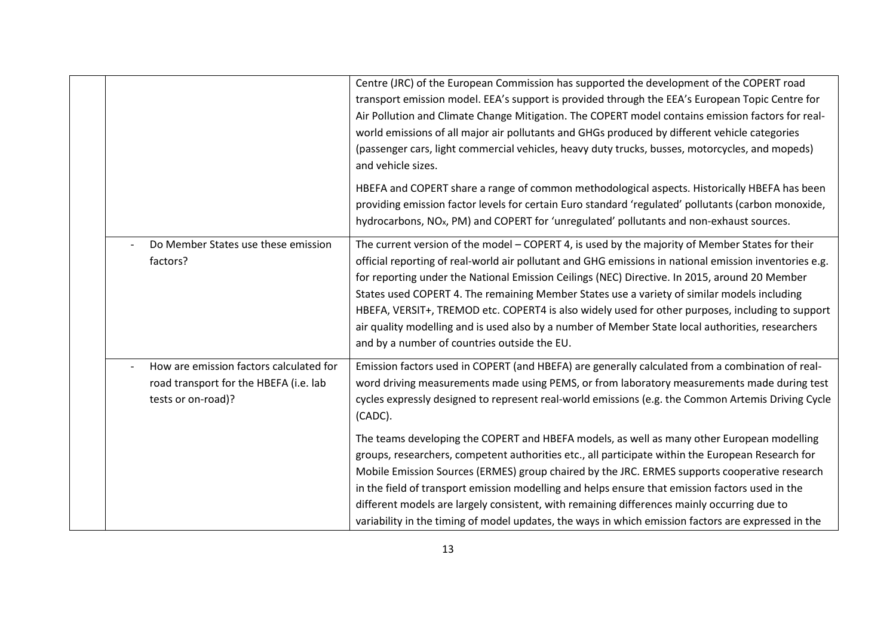|                                                                                                         | Centre (JRC) of the European Commission has supported the development of the COPERT road<br>transport emission model. EEA's support is provided through the EEA's European Topic Centre for<br>Air Pollution and Climate Change Mitigation. The COPERT model contains emission factors for real-<br>world emissions of all major air pollutants and GHGs produced by different vehicle categories<br>(passenger cars, light commercial vehicles, heavy duty trucks, busses, motorcycles, and mopeds)                                                                                                                                                                                                                                                                                                                   |
|---------------------------------------------------------------------------------------------------------|------------------------------------------------------------------------------------------------------------------------------------------------------------------------------------------------------------------------------------------------------------------------------------------------------------------------------------------------------------------------------------------------------------------------------------------------------------------------------------------------------------------------------------------------------------------------------------------------------------------------------------------------------------------------------------------------------------------------------------------------------------------------------------------------------------------------|
|                                                                                                         | and vehicle sizes.<br>HBEFA and COPERT share a range of common methodological aspects. Historically HBEFA has been<br>providing emission factor levels for certain Euro standard 'regulated' pollutants (carbon monoxide,<br>hydrocarbons, NO <sub>x</sub> , PM) and COPERT for 'unregulated' pollutants and non-exhaust sources.                                                                                                                                                                                                                                                                                                                                                                                                                                                                                      |
| Do Member States use these emission<br>factors?                                                         | The current version of the model - COPERT 4, is used by the majority of Member States for their<br>official reporting of real-world air pollutant and GHG emissions in national emission inventories e.g.<br>for reporting under the National Emission Ceilings (NEC) Directive. In 2015, around 20 Member<br>States used COPERT 4. The remaining Member States use a variety of similar models including<br>HBEFA, VERSIT+, TREMOD etc. COPERT4 is also widely used for other purposes, including to support<br>air quality modelling and is used also by a number of Member State local authorities, researchers<br>and by a number of countries outside the EU.                                                                                                                                                     |
| How are emission factors calculated for<br>road transport for the HBEFA (i.e. lab<br>tests or on-road)? | Emission factors used in COPERT (and HBEFA) are generally calculated from a combination of real-<br>word driving measurements made using PEMS, or from laboratory measurements made during test<br>cycles expressly designed to represent real-world emissions (e.g. the Common Artemis Driving Cycle<br>(CADC).<br>The teams developing the COPERT and HBEFA models, as well as many other European modelling<br>groups, researchers, competent authorities etc., all participate within the European Research for<br>Mobile Emission Sources (ERMES) group chaired by the JRC. ERMES supports cooperative research<br>in the field of transport emission modelling and helps ensure that emission factors used in the<br>different models are largely consistent, with remaining differences mainly occurring due to |
|                                                                                                         | variability in the timing of model updates, the ways in which emission factors are expressed in the                                                                                                                                                                                                                                                                                                                                                                                                                                                                                                                                                                                                                                                                                                                    |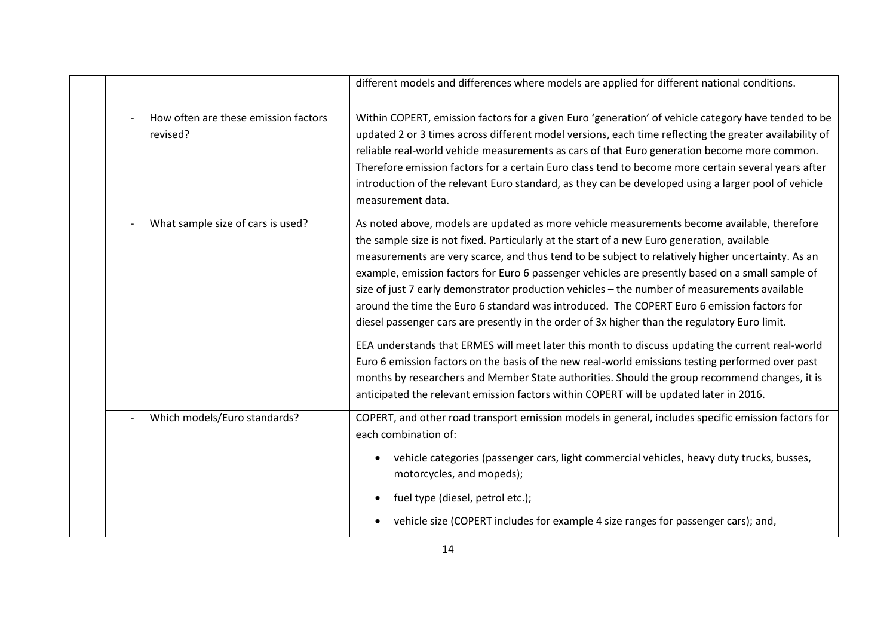|                                                  | different models and differences where models are applied for different national conditions.                                                                                                                                                                                                                                                                                                                                                                                                                                                                                                                                                                                                                                                                                                                                                                                                                                                                                                                                                                                                          |
|--------------------------------------------------|-------------------------------------------------------------------------------------------------------------------------------------------------------------------------------------------------------------------------------------------------------------------------------------------------------------------------------------------------------------------------------------------------------------------------------------------------------------------------------------------------------------------------------------------------------------------------------------------------------------------------------------------------------------------------------------------------------------------------------------------------------------------------------------------------------------------------------------------------------------------------------------------------------------------------------------------------------------------------------------------------------------------------------------------------------------------------------------------------------|
| How often are these emission factors<br>revised? | Within COPERT, emission factors for a given Euro 'generation' of vehicle category have tended to be<br>updated 2 or 3 times across different model versions, each time reflecting the greater availability of<br>reliable real-world vehicle measurements as cars of that Euro generation become more common.<br>Therefore emission factors for a certain Euro class tend to become more certain several years after<br>introduction of the relevant Euro standard, as they can be developed using a larger pool of vehicle<br>measurement data.                                                                                                                                                                                                                                                                                                                                                                                                                                                                                                                                                      |
| What sample size of cars is used?                | As noted above, models are updated as more vehicle measurements become available, therefore<br>the sample size is not fixed. Particularly at the start of a new Euro generation, available<br>measurements are very scarce, and thus tend to be subject to relatively higher uncertainty. As an<br>example, emission factors for Euro 6 passenger vehicles are presently based on a small sample of<br>size of just 7 early demonstrator production vehicles - the number of measurements available<br>around the time the Euro 6 standard was introduced. The COPERT Euro 6 emission factors for<br>diesel passenger cars are presently in the order of 3x higher than the regulatory Euro limit.<br>EEA understands that ERMES will meet later this month to discuss updating the current real-world<br>Euro 6 emission factors on the basis of the new real-world emissions testing performed over past<br>months by researchers and Member State authorities. Should the group recommend changes, it is<br>anticipated the relevant emission factors within COPERT will be updated later in 2016. |
| Which models/Euro standards?                     | COPERT, and other road transport emission models in general, includes specific emission factors for<br>each combination of:<br>vehicle categories (passenger cars, light commercial vehicles, heavy duty trucks, busses,<br>motorcycles, and mopeds);<br>fuel type (diesel, petrol etc.);<br>vehicle size (COPERT includes for example 4 size ranges for passenger cars); and,                                                                                                                                                                                                                                                                                                                                                                                                                                                                                                                                                                                                                                                                                                                        |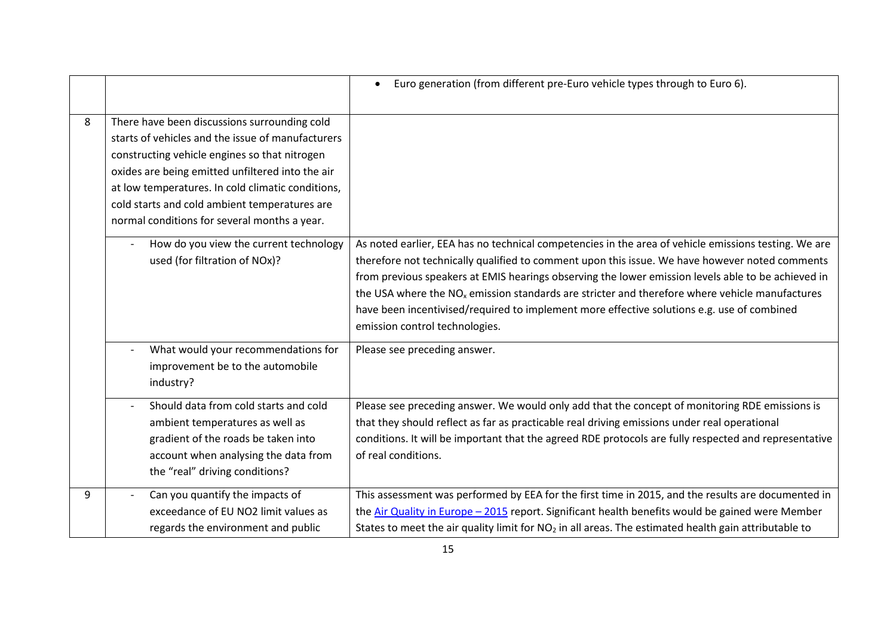|   |                                                                                                                                                                                                                                                                                                                                                              | Euro generation (from different pre-Euro vehicle types through to Euro 6).<br>$\bullet$                                                                                                                                                                                                                                                                                                                                                                                                                                                          |
|---|--------------------------------------------------------------------------------------------------------------------------------------------------------------------------------------------------------------------------------------------------------------------------------------------------------------------------------------------------------------|--------------------------------------------------------------------------------------------------------------------------------------------------------------------------------------------------------------------------------------------------------------------------------------------------------------------------------------------------------------------------------------------------------------------------------------------------------------------------------------------------------------------------------------------------|
| 8 | There have been discussions surrounding cold<br>starts of vehicles and the issue of manufacturers<br>constructing vehicle engines so that nitrogen<br>oxides are being emitted unfiltered into the air<br>at low temperatures. In cold climatic conditions,<br>cold starts and cold ambient temperatures are<br>normal conditions for several months a year. |                                                                                                                                                                                                                                                                                                                                                                                                                                                                                                                                                  |
|   | How do you view the current technology<br>used (for filtration of NOx)?                                                                                                                                                                                                                                                                                      | As noted earlier, EEA has no technical competencies in the area of vehicle emissions testing. We are<br>therefore not technically qualified to comment upon this issue. We have however noted comments<br>from previous speakers at EMIS hearings observing the lower emission levels able to be achieved in<br>the USA where the $NOx$ emission standards are stricter and therefore where vehicle manufactures<br>have been incentivised/required to implement more effective solutions e.g. use of combined<br>emission control technologies. |
|   | What would your recommendations for<br>improvement be to the automobile<br>industry?                                                                                                                                                                                                                                                                         | Please see preceding answer.                                                                                                                                                                                                                                                                                                                                                                                                                                                                                                                     |
|   | Should data from cold starts and cold<br>ambient temperatures as well as<br>gradient of the roads be taken into<br>account when analysing the data from<br>the "real" driving conditions?                                                                                                                                                                    | Please see preceding answer. We would only add that the concept of monitoring RDE emissions is<br>that they should reflect as far as practicable real driving emissions under real operational<br>conditions. It will be important that the agreed RDE protocols are fully respected and representative<br>of real conditions.                                                                                                                                                                                                                   |
| 9 | Can you quantify the impacts of<br>exceedance of EU NO2 limit values as<br>regards the environment and public                                                                                                                                                                                                                                                | This assessment was performed by EEA for the first time in 2015, and the results are documented in<br>the Air Quality in Europe $-2015$ report. Significant health benefits would be gained were Member<br>States to meet the air quality limit for NO <sub>2</sub> in all areas. The estimated health gain attributable to                                                                                                                                                                                                                      |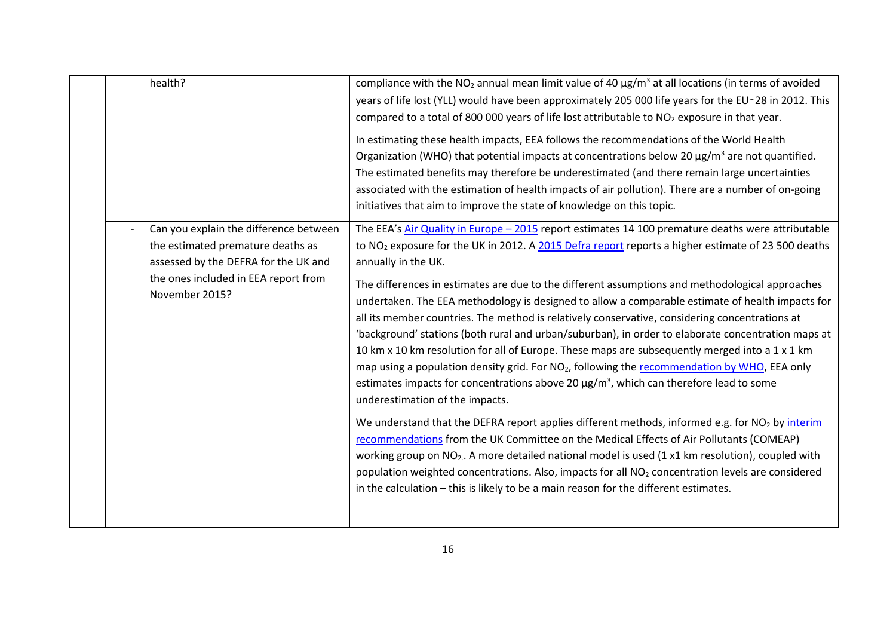| health?        |                                                                                                                                                             | compliance with the NO <sub>2</sub> annual mean limit value of 40 $\mu$ g/m <sup>3</sup> at all locations (in terms of avoided<br>years of life lost (YLL) would have been approximately 205 000 life years for the EU-28 in 2012. This<br>compared to a total of 800 000 years of life lost attributable to NO <sub>2</sub> exposure in that year.                                                                                                                                                                                                                                                                                                                                                                                                                                                                                                                                                                                                                                |
|----------------|-------------------------------------------------------------------------------------------------------------------------------------------------------------|------------------------------------------------------------------------------------------------------------------------------------------------------------------------------------------------------------------------------------------------------------------------------------------------------------------------------------------------------------------------------------------------------------------------------------------------------------------------------------------------------------------------------------------------------------------------------------------------------------------------------------------------------------------------------------------------------------------------------------------------------------------------------------------------------------------------------------------------------------------------------------------------------------------------------------------------------------------------------------|
|                |                                                                                                                                                             | In estimating these health impacts, EEA follows the recommendations of the World Health<br>Organization (WHO) that potential impacts at concentrations below 20 $\mu$ g/m <sup>3</sup> are not quantified.<br>The estimated benefits may therefore be underestimated (and there remain large uncertainties<br>associated with the estimation of health impacts of air pollution). There are a number of on-going<br>initiatives that aim to improve the state of knowledge on this topic.                                                                                                                                                                                                                                                                                                                                                                                                                                                                                          |
| November 2015? | Can you explain the difference between<br>the estimated premature deaths as<br>assessed by the DEFRA for the UK and<br>the ones included in EEA report from | The EEA's Air Quality in Europe - 2015 report estimates 14 100 premature deaths were attributable<br>to NO <sub>2</sub> exposure for the UK in 2012. A 2015 Defra report reports a higher estimate of 23 500 deaths<br>annually in the UK.<br>The differences in estimates are due to the different assumptions and methodological approaches<br>undertaken. The EEA methodology is designed to allow a comparable estimate of health impacts for<br>all its member countries. The method is relatively conservative, considering concentrations at<br>'background' stations (both rural and urban/suburban), in order to elaborate concentration maps at<br>10 km x 10 km resolution for all of Europe. These maps are subsequently merged into a 1 x 1 km<br>map using a population density grid. For NO <sub>2</sub> , following the recommendation by WHO, EEA only<br>estimates impacts for concentrations above 20 $\mu$ g/m <sup>3</sup> , which can therefore lead to some |
|                |                                                                                                                                                             | underestimation of the impacts.<br>We understand that the DEFRA report applies different methods, informed e.g. for NO <sub>2</sub> by interim<br>recommendations from the UK Committee on the Medical Effects of Air Pollutants (COMEAP)<br>working group on NO <sub>2</sub> . A more detailed national model is used (1 x1 km resolution), coupled with<br>population weighted concentrations. Also, impacts for all NO <sub>2</sub> concentration levels are considered<br>in the calculation - this is likely to be a main reason for the different estimates.                                                                                                                                                                                                                                                                                                                                                                                                                 |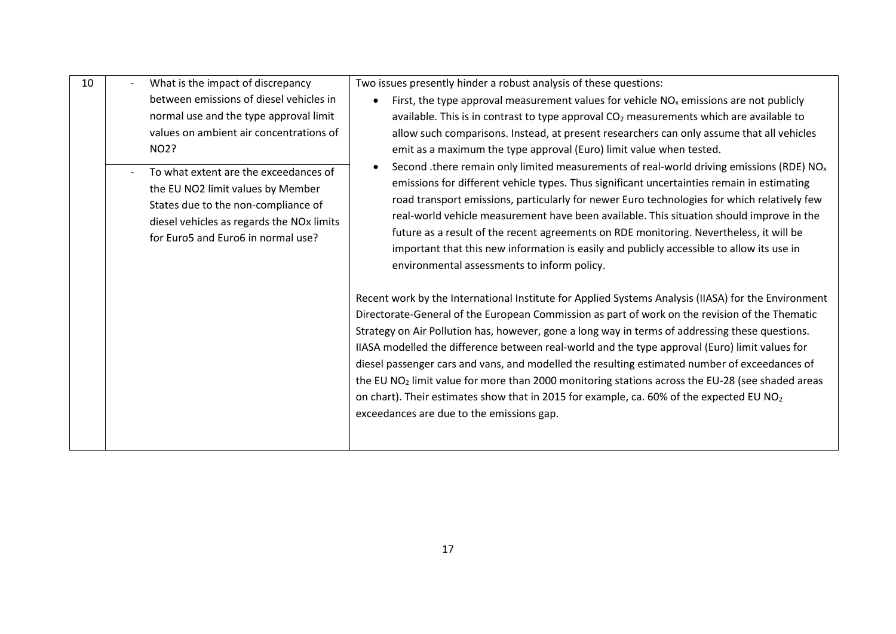| 10 | What is the impact of discrepancy                                                                                                                                                                                                                                                                                                            | Two issues presently hinder a robust analysis of these questions:                                                                                                                                                                                                                                                                                                                                                                                                                                                                                                                                                                                                                                                                                                                                                                                                                                                                                                                                 |
|----|----------------------------------------------------------------------------------------------------------------------------------------------------------------------------------------------------------------------------------------------------------------------------------------------------------------------------------------------|---------------------------------------------------------------------------------------------------------------------------------------------------------------------------------------------------------------------------------------------------------------------------------------------------------------------------------------------------------------------------------------------------------------------------------------------------------------------------------------------------------------------------------------------------------------------------------------------------------------------------------------------------------------------------------------------------------------------------------------------------------------------------------------------------------------------------------------------------------------------------------------------------------------------------------------------------------------------------------------------------|
|    | between emissions of diesel vehicles in<br>normal use and the type approval limit<br>values on ambient air concentrations of<br>NO2?<br>To what extent are the exceedances of<br>the EU NO2 limit values by Member<br>States due to the non-compliance of<br>diesel vehicles as regards the NOx limits<br>for Euro5 and Euro6 in normal use? | First, the type approval measurement values for vehicle $NOx$ emissions are not publicly<br>available. This is in contrast to type approval $CO2$ measurements which are available to<br>allow such comparisons. Instead, at present researchers can only assume that all vehicles<br>emit as a maximum the type approval (Euro) limit value when tested.<br>Second .there remain only limited measurements of real-world driving emissions (RDE) NO <sub>x</sub><br>emissions for different vehicle types. Thus significant uncertainties remain in estimating<br>road transport emissions, particularly for newer Euro technologies for which relatively few<br>real-world vehicle measurement have been available. This situation should improve in the<br>future as a result of the recent agreements on RDE monitoring. Nevertheless, it will be<br>important that this new information is easily and publicly accessible to allow its use in<br>environmental assessments to inform policy. |
|    |                                                                                                                                                                                                                                                                                                                                              | Recent work by the International Institute for Applied Systems Analysis (IIASA) for the Environment<br>Directorate-General of the European Commission as part of work on the revision of the Thematic<br>Strategy on Air Pollution has, however, gone a long way in terms of addressing these questions.<br>IIASA modelled the difference between real-world and the type approval (Euro) limit values for<br>diesel passenger cars and vans, and modelled the resulting estimated number of exceedances of<br>the EU NO <sub>2</sub> limit value for more than 2000 monitoring stations across the EU-28 (see shaded areas<br>on chart). Their estimates show that in 2015 for example, ca. 60% of the expected EU NO <sub>2</sub><br>exceedances are due to the emissions gap.                                                                                                                                                                                                                  |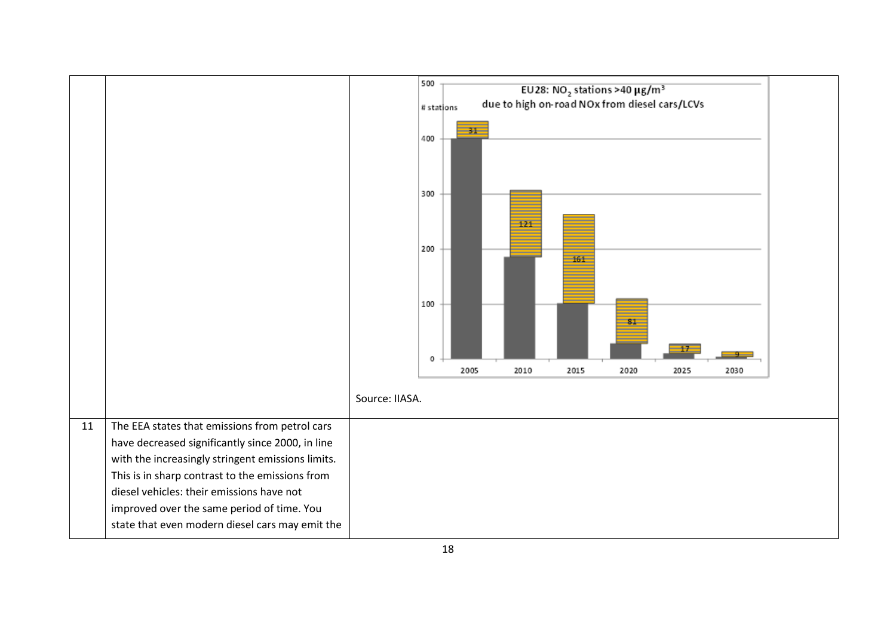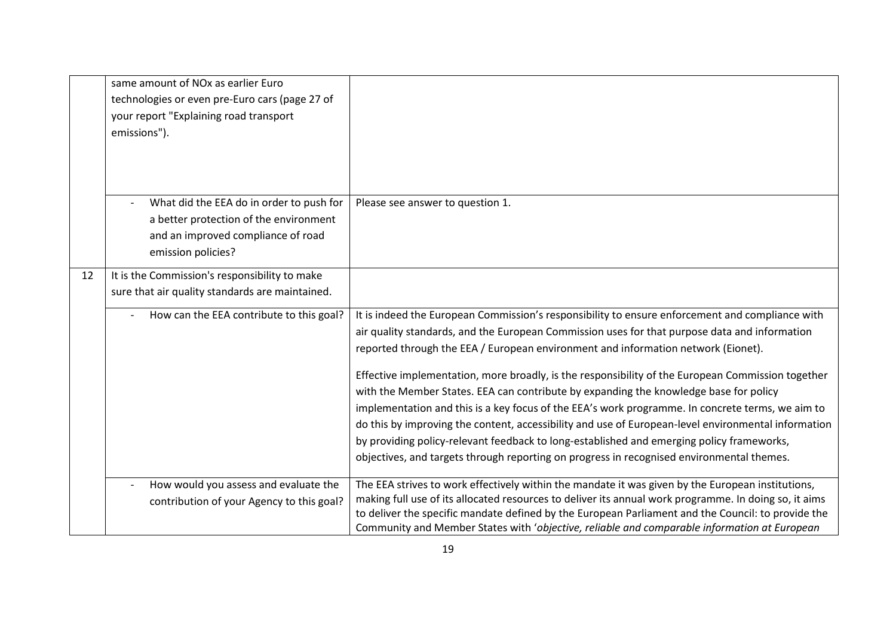|    | same amount of NO <sub>x</sub> as earlier Euro<br>technologies or even pre-Euro cars (page 27 of<br>your report "Explaining road transport<br>emissions"). |                                                                                                                                                                                                                                                                                                                                                                                                                                                                                                                                                                                                                                                                                                                                                                                                                                                                                          |
|----|------------------------------------------------------------------------------------------------------------------------------------------------------------|------------------------------------------------------------------------------------------------------------------------------------------------------------------------------------------------------------------------------------------------------------------------------------------------------------------------------------------------------------------------------------------------------------------------------------------------------------------------------------------------------------------------------------------------------------------------------------------------------------------------------------------------------------------------------------------------------------------------------------------------------------------------------------------------------------------------------------------------------------------------------------------|
|    | What did the EEA do in order to push for<br>a better protection of the environment<br>and an improved compliance of road<br>emission policies?             | Please see answer to question 1.                                                                                                                                                                                                                                                                                                                                                                                                                                                                                                                                                                                                                                                                                                                                                                                                                                                         |
| 12 | It is the Commission's responsibility to make<br>sure that air quality standards are maintained.<br>How can the EEA contribute to this goal?               | It is indeed the European Commission's responsibility to ensure enforcement and compliance with<br>air quality standards, and the European Commission uses for that purpose data and information<br>reported through the EEA / European environment and information network (Eionet).<br>Effective implementation, more broadly, is the responsibility of the European Commission together<br>with the Member States. EEA can contribute by expanding the knowledge base for policy<br>implementation and this is a key focus of the EEA's work programme. In concrete terms, we aim to<br>do this by improving the content, accessibility and use of European-level environmental information<br>by providing policy-relevant feedback to long-established and emerging policy frameworks,<br>objectives, and targets through reporting on progress in recognised environmental themes. |
|    | How would you assess and evaluate the<br>contribution of your Agency to this goal?                                                                         | The EEA strives to work effectively within the mandate it was given by the European institutions,<br>making full use of its allocated resources to deliver its annual work programme. In doing so, it aims<br>to deliver the specific mandate defined by the European Parliament and the Council: to provide the<br>Community and Member States with 'objective, reliable and comparable information at European                                                                                                                                                                                                                                                                                                                                                                                                                                                                         |